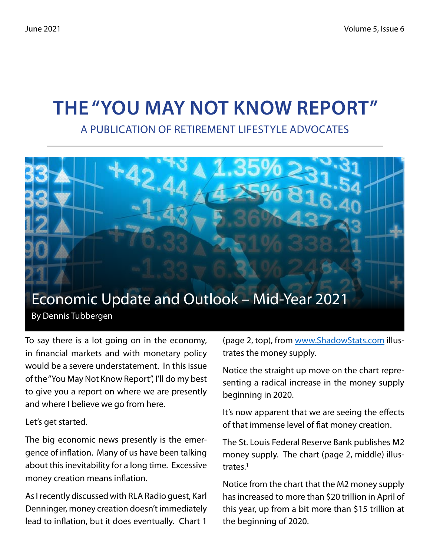# **The "You May Not Know Report"**

A Publication of Retirement Lifestyle Advocates



To say there is a lot going on in the economy, in financial markets and with monetary policy would be a severe understatement. In this issue of the "You May Not Know Report", I'll do my best to give you a report on where we are presently and where I believe we go from here.

Let's get started.

The big economic news presently is the emergence of inflation. Many of us have been talking about this inevitability for a long time. Excessive money creation means inflation.

As I recently discussed with RLA Radio guest, Karl Denninger, money creation doesn't immediately lead to inflation, but it does eventually. Chart 1

(page 2, top), from www.ShadowStats.com illustrates the money supply.

Notice the straight up move on the chart representing a radical increase in the money supply beginning in 2020.

It's now apparent that we are seeing the effects of that immense level of fiat money creation.

The St. Louis Federal Reserve Bank publishes M2 money supply. The chart (page 2, middle) illustrates.<sup>1</sup>

Notice from the chart that the M2 money supply has increased to more than \$20 trillion in April of this year, up from a bit more than \$15 trillion at the beginning of 2020.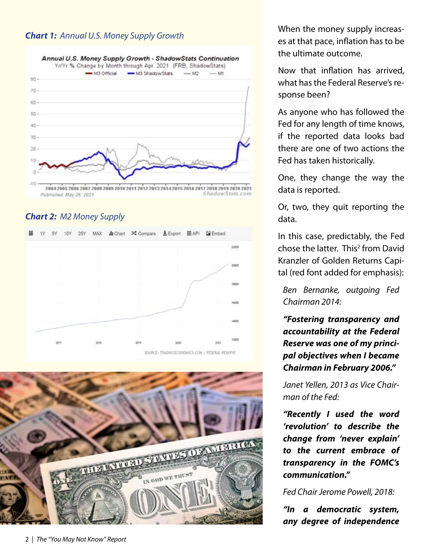#### *Chart 1: Annual U.S. Money Supply Growth*



#### *Chart 2: M2 Money Supply*





When the money supply increases at that pace, inflation has to be the ultimate outcome.

Now that inflation has arrived, what has the Federal Reserve's response been?

As anyone who has followed the Fed for any length of time knows, if the reported data looks bad there are one of two actions the Fed has taken historically.

One, they change the way the data is reported.

Or, two, they quit reporting the data.

In this case, predictably, the Fed chose the latter. This<sup>2</sup> from David Kranzler of Golden Returns Capital (red font added for emphasis):

*Ben Bernanke, outgoing Fed Chairman 2014:*

*"Fostering transparency and accountability at the Federal Reserve was one of my principal objectives when I became Chairman in February 2006."*

*Janet Yellen, 2013 as Vice Chairman of the Fed:*

*"Recently I used the word 'revolution' to describe the change from 'never explain' to the current embrace of transparency in the FOMC's communication."*

*Fed Chair Jerome Powell, 2018:*

*"In a democratic system, any degree of independence*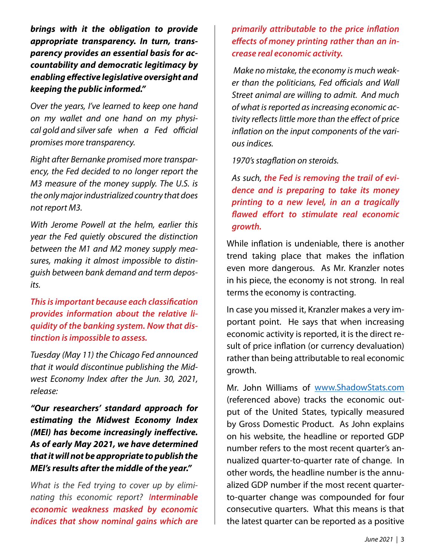*brings with it the obligation to provide appropriate transparency. In turn, transparency provides an essential basis for accountability and democratic legitimacy by enabling effective legislative oversight and keeping the public informed."*

*Over the years, I've learned to keep one hand on my wallet and one hand on my physical gold and silversafe when a Fed official promises more transparency.*

*Right after Bernanke promised more transparency, the Fed decided to no longer report the M3 measure of the money supply. The U.S. is the only major industrialized country that does not report M3.*

*With Jerome Powell at the helm, earlier this year the Fed quietly obscured the distinction between the M1 and M2 money supply measures, making it almost impossible to distinguish between bank demand and term deposits.*

*This is important because each classification provides information about the relative liquidity of the banking system. Now that distinction is impossible to assess.*

*Tuesday (May 11) the Chicago Fed announced that it would discontinue publishing the Midwest Economy Index after the Jun. 30, 2021, release:*

*"Our researchers' standard approach for estimating the Midwest Economy Index (MEI) has become increasingly ineffective. As of early May 2021, we have determined that it will not be appropriate to publish the MEI's results after the middle of the year."*

*What is the Fed trying to cover up by eliminating this economic report? Interminable economic weakness masked by economic indices that show nominal gains which are*  *primarily attributable to the price inflation effects of money printing rather than an increase real economic activity.*

*Make no mistake, the economy is much weaker than the politicians, Fed officials and Wall Street animal are willing to admit. And much of what is reported as increasing economic activity reflects little more than the effect of price inflation on the input components of the various indices.*

*1970's stagflation on steroids.*

*As such, the Fed is removing the trail of evidence and is preparing to take its money printing to a new level, in an a tragically flawed effort to stimulate real economic growth.*

While inflation is undeniable, there is another trend taking place that makes the inflation even more dangerous. As Mr. Kranzler notes in his piece, the economy is not strong. In real terms the economy is contracting.

In case you missed it, Kranzler makes a very important point. He says that when increasing economic activity is reported, it is the direct result of price inflation (or currency devaluation) rather than being attributable to real economic growth.

Mr. John Williams of www.ShadowStats.com (referenced above) tracks the economic output of the United States, typically measured by Gross Domestic Product. As John explains on his website, the headline or reported GDP number refers to the most recent quarter's annualized quarter-to-quarter rate of change. In other words, the headline number is the annualized GDP number if the most recent quarterto-quarter change was compounded for four consecutive quarters. What this means is that the latest quarter can be reported as a positive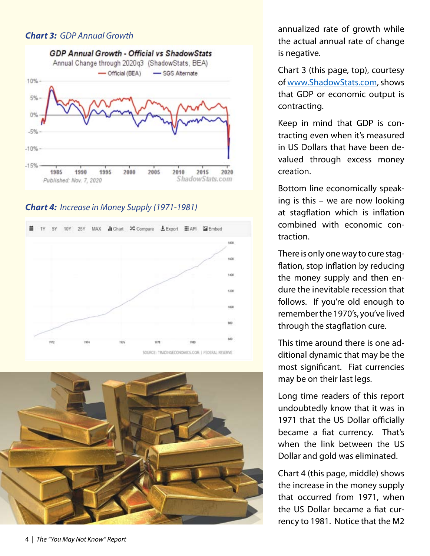#### *Chart 3: GDP Annual Growth*



*Chart 4: Increase in Money Supply (1971-1981)*





annualized rate of growth while the actual annual rate of change is negative.

Chart 3 (this page, top), courtesy of www.ShadowStats.com, shows that GDP or economic output is contracting.

Keep in mind that GDP is contracting even when it's measured in US Dollars that have been devalued through excess money creation.

Bottom line economically speaking is this – we are now looking at stagflation which is inflation combined with economic contraction.

There is only one way to cure stagflation, stop inflation by reducing the money supply and then endure the inevitable recession that follows. If you're old enough to remember the 1970's, you've lived through the stagflation cure.

This time around there is one additional dynamic that may be the most significant. Fiat currencies may be on their last legs.

Long time readers of this report undoubtedly know that it was in 1971 that the US Dollar officially became a fiat currency. That's when the link between the US Dollar and gold was eliminated.

Chart 4 (this page, middle) shows the increase in the money supply that occurred from 1971, when the US Dollar became a fiat currency to 1981. Notice that the M2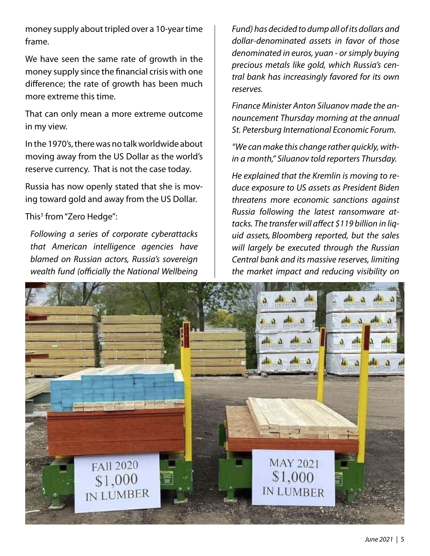money supply about tripled over a 10-year time frame.

We have seen the same rate of growth in the money supply since the financial crisis with one difference; the rate of growth has been much more extreme this time.

That can only mean a more extreme outcome in my view.

In the 1970's, there was no talk worldwide about moving away from the US Dollar as the world's reserve currency. That is not the case today.

Russia has now openly stated that she is moving toward gold and away from the US Dollar.

This<sup>3</sup> from "Zero Hedge":

*Following a series of corporate cyberattacks that American intelligence agencies have blamed on Russian actors, Russia's sovereign wealth fund (officially the National Wellbeing* 

*Fund) has decided to dump all of its dollars and dollar-denominated assets in favor of those denominated in euros, yuan - or simply buying precious metals like gold, which Russia's central bank has increasingly favored for its own reserves.*

*Finance Minister Anton Siluanov made the announcement Thursday morning at the annual St. Petersburg International Economic Forum.*

*"We can make this change rather quickly, within a month," Siluanov told reporters Thursday.*

*He explained that the Kremlin is moving to reduce exposure to US assets as President Biden threatens more economic sanctions against Russia following the latest ransomware attacks. The transfer will affect \$119 billion in liquid assets, Bloomberg reported, but the sales will largely be executed through the Russian Central bank and its massive reserves, limiting the market impact and reducing visibility on* 

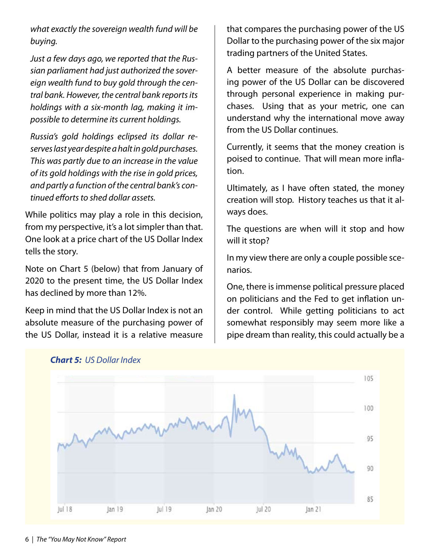*what exactly the sovereign wealth fund will be buying.*

*Just a few days ago, we reported that the Russian parliament had just authorized the sovereign wealth fund to buy gold through the central bank. However, the central bank reports its holdings with a six-month lag, making it impossible to determine its current holdings.*

*Russia's gold holdings eclipsed its dollar reserves last year despite a halt in gold purchases. This was partly due to an increase in the value of its gold holdings with the rise in gold prices, and partly a function of the central bank's continued efforts to shed dollar assets.*

While politics may play a role in this decision, from my perspective, it's a lot simpler than that. One look at a price chart of the US Dollar Index tells the story.

Note on Chart 5 (below) that from January of 2020 to the present time, the US Dollar Index has declined by more than 12%.

Keep in mind that the US Dollar Index is not an absolute measure of the purchasing power of the US Dollar, instead it is a relative measure that compares the purchasing power of the US Dollar to the purchasing power of the six major trading partners of the United States.

A better measure of the absolute purchasing power of the US Dollar can be discovered through personal experience in making purchases. Using that as your metric, one can understand why the international move away from the US Dollar continues.

Currently, it seems that the money creation is poised to continue. That will mean more inflation.

Ultimately, as I have often stated, the money creation will stop. History teaches us that it always does.

The questions are when will it stop and how will it stop?

In my view there are only a couple possible scenarios.

One, there is immense political pressure placed on politicians and the Fed to get inflation under control. While getting politicians to act somewhat responsibly may seem more like a pipe dream than reality, this could actually be a



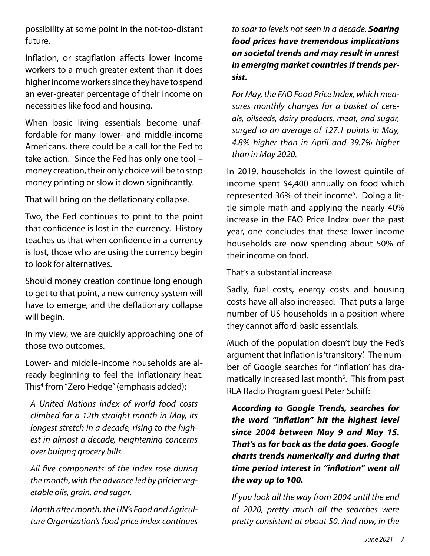possibility at some point in the not-too-distant future.

Inflation, or stagflation affects lower income workers to a much greater extent than it does higher income workers since they have to spend an ever-greater percentage of their income on necessities like food and housing.

When basic living essentials become unaffordable for many lower- and middle-income Americans, there could be a call for the Fed to take action. Since the Fed has only one tool – money creation, their only choice will be to stop money printing or slow it down significantly.

That will bring on the deflationary collapse.

Two, the Fed continues to print to the point that confidence is lost in the currency. History teaches us that when confidence in a currency is lost, those who are using the currency begin to look for alternatives.

Should money creation continue long enough to get to that point, a new currency system will have to emerge, and the deflationary collapse will begin.

In my view, we are quickly approaching one of those two outcomes.

Lower- and middle-income households are already beginning to feel the inflationary heat. This4 from "Zero Hedge" (emphasis added):

*A United Nations index of world food costs climbed for a 12th straight month in May, its longest stretch in a decade, rising to the highest in almost a decade, heightening concerns over bulging grocery bills.*

*All five components of the index rose during the month, with the advance led by pricier vegetable oils, grain, and sugar.*

*Month after month, the UN's Food and Agriculture Organization's food price index continues*  *to soar to levels not seen in a decade. Soaring food prices have tremendous implications on societal trends and may result in unrest in emerging market countries if trends persist.*

*For May, the FAO Food Price Index, which measures monthly changes for a basket of cereals, oilseeds, dairy products, meat, and sugar, surged to an average of 127.1 points in May, 4.8% higher than in April and 39.7% higher than in May 2020.*

In 2019, households in the lowest quintile of income spent \$4,400 annually on food which represented 36% of their income<sup>5</sup>. Doing a little simple math and applying the nearly 40% increase in the FAO Price Index over the past year, one concludes that these lower income households are now spending about 50% of their income on food.

That's a substantial increase.

Sadly, fuel costs, energy costs and housing costs have all also increased. That puts a large number of US households in a position where they cannot afford basic essentials.

Much of the population doesn't buy the Fed's argument that inflation is 'transitory'. The number of Google searches for "inflation' has dramatically increased last month<sup>6</sup>. This from past RLA Radio Program guest Peter Schiff:

*According to Google Trends, searches for the word "inflation" hit the highest level since 2004 between May 9 and May 15. That's as far back as the data goes. Google charts trends numerically and during that time period interest in "inflation" went all the way up to 100.*

*If you look all the way from 2004 until the end of 2020, pretty much all the searches were pretty consistent at about 50. And now, in the*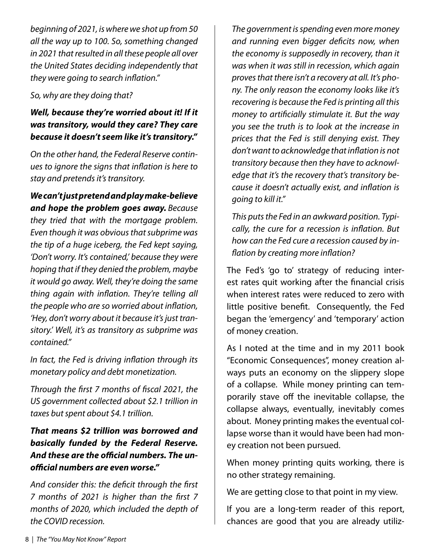*beginning of 2021, is where we shot up from 50 all the way up to 100. So, something changed in 2021 that resulted in all these people all over the United States deciding independently that they were going to search inflation."*

#### *So, why are they doing that?*

#### *Well, because they're worried about it! If it was transitory, would they care? They care because it doesn't seem like it's transitory."*

*On the other hand, the Federal Reserve continues to ignore the signs that inflation is here to stay and pretends it's transitory.*

*We can't just pretend and play make-believe and hope the problem goes away. Because they tried that with the mortgage problem. Even though it was obvious that subprime was the tip of a huge iceberg, the Fed kept saying, 'Don't worry. It's contained,' because they were hoping that if they denied the problem, maybe it would go away. Well, they're doing the same thing again with inflation. They're telling all the people who are so worried about inflation, 'Hey, don't worry about it because it's just transitory.' Well, it's as transitory as subprime was contained."*

*In fact, the Fed is driving inflation through its monetary policy and debt monetization.*

*Through the first 7 months of fiscal 2021, the US government collected about \$2.1 trillion in taxes but spent about \$4.1 trillion.*

*That means \$2 trillion was borrowed and basically funded by the Federal Reserve. And these are the official numbers. The unofficial numbers are even worse."*

*And consider this: the deficit through the first 7 months of 2021 is higher than the first 7 months of 2020, which included the depth of the COVID recession.*

*The government is spending even more money and running even bigger deficits now, when the economy is supposedly in recovery, than it was when it was still in recession, which again proves that there isn't a recovery at all. It's phony. The only reason the economy looks like it's recovering is because the Fed is printing all this money to artificially stimulate it. But the way you see the truth is to look at the increase in prices that the Fed is still denying exist. They don't want to acknowledge that inflation is not transitory because then they have to acknowledge that it's the recovery that's transitory because it doesn't actually exist, and inflation is going to kill it."*

*This puts the Fed in an awkward position. Typically, the cure for a recession is inflation. But how can the Fed cure a recession caused by inflation by creating more inflation?*

The Fed's 'go to' strategy of reducing interest rates quit working after the financial crisis when interest rates were reduced to zero with little positive benefit. Consequently, the Fed began the 'emergency' and 'temporary' action of money creation.

As I noted at the time and in my 2011 book "Economic Consequences", money creation always puts an economy on the slippery slope of a collapse. While money printing can temporarily stave off the inevitable collapse, the collapse always, eventually, inevitably comes about. Money printing makes the eventual collapse worse than it would have been had money creation not been pursued.

When money printing quits working, there is no other strategy remaining.

We are getting close to that point in my view.

If you are a long-term reader of this report, chances are good that you are already utiliz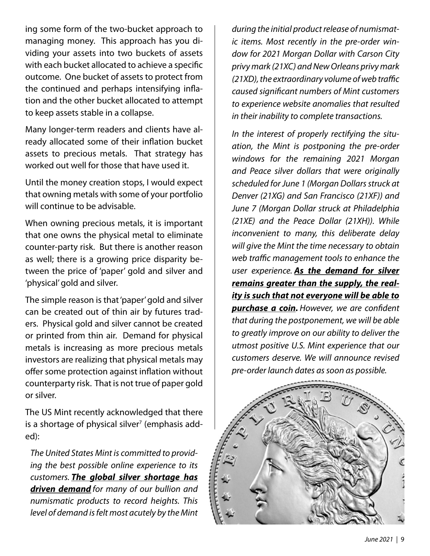ing some form of the two-bucket approach to managing money. This approach has you dividing your assets into two buckets of assets with each bucket allocated to achieve a specific outcome. One bucket of assets to protect from the continued and perhaps intensifying inflation and the other bucket allocated to attempt to keep assets stable in a collapse.

Many longer-term readers and clients have already allocated some of their inflation bucket assets to precious metals. That strategy has worked out well for those that have used it.

Until the money creation stops, I would expect that owning metals with some of your portfolio will continue to be advisable.

When owning precious metals, it is important that one owns the physical metal to eliminate counter-party risk. But there is another reason as well; there is a growing price disparity between the price of 'paper' gold and silver and 'physical' gold and silver.

The simple reason is that 'paper' gold and silver can be created out of thin air by futures traders. Physical gold and silver cannot be created or printed from thin air. Demand for physical metals is increasing as more precious metals investors are realizing that physical metals may offer some protection against inflation without counterparty risk. That is not true of paper gold or silver.

The US Mint recently acknowledged that there is a shortage of physical silver<sup>7</sup> (emphasis added):

*The United States Mint is committed to providing the best possible online experience to its customers. The global silver shortage has driven demand for many of our bullion and numismatic products to record heights. This level of demand is felt most acutely by the Mint* 

*during the initial product release of numismatic items. Most recently in the pre-order window for 2021 Morgan Dollar with Carson City privy mark (21XC) and New Orleans privy mark (21XD), the extraordinary volume of web traffic caused significant numbers of Mint customers to experience website anomalies that resulted in their inability to complete transactions.*

*In the interest of properly rectifying the situation, the Mint is postponing the pre-order windows for the remaining 2021 Morgan and Peace silver dollars that were originally scheduled for June 1 (Morgan Dollars struck at Denver (21XG) and San Francisco (21XF)) and June 7 (Morgan Dollar struck at Philadelphia (21XE) and the Peace Dollar (21XH)). While inconvenient to many, this deliberate delay will give the Mint the time necessary to obtain web traffic management tools to enhance the user experience. As the demand for silver remains greater than the supply, the reality is such that not everyone will be able to purchase a coin. However, we are confident that during the postponement, we will be able to greatly improve on our ability to deliver the utmost positive U.S. Mint experience that our customers deserve. We will announce revised pre-order launch dates as soon as possible.*

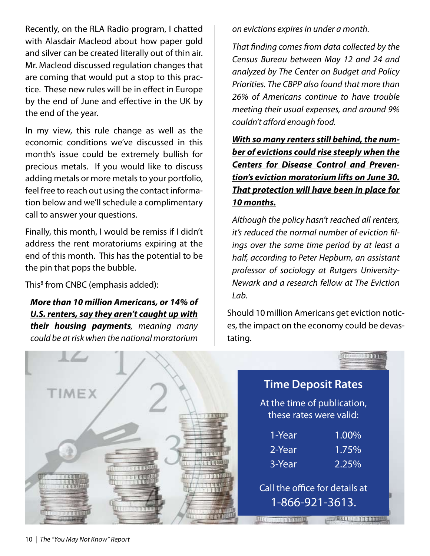Recently, on the RLA Radio program, I chatted with Alasdair Macleod about how paper gold and silver can be created literally out of thin air. Mr. Macleod discussed regulation changes that are coming that would put a stop to this practice. These new rules will be in effect in Europe by the end of June and effective in the UK by the end of the year.

In my view, this rule change as well as the economic conditions we've discussed in this month's issue could be extremely bullish for precious metals. If you would like to discuss adding metals or more metals to your portfolio, feel free to reach out using the contact information below and we'll schedule a complimentary call to answer your questions.

Finally, this month, I would be remiss if I didn't address the rent moratoriums expiring at the end of this month. This has the potential to be the pin that pops the bubble.

This<sup>8</sup> from CNBC (emphasis added):

*More than 10 million Americans, or 14% of U.S. renters, say they aren't caught up with their housing payments, meaning many could be at risk when the national moratorium* 

*on evictions expires in under a month.*

*That finding comes from data collected by the Census Bureau between May 12 and 24 and analyzed by The Center on Budget and Policy Priorities. The CBPP also found that more than 26% of Americans continue to have trouble meeting their usual expenses, and around 9% couldn't afford enough food.*

*With so many renters still behind, the number of evictions could rise steeply when the Centers for Disease Control and Prevention's eviction moratorium lifts on June 30. That protection will have been in place for 10 months.*

*Although the policy hasn't reached all renters, it's reduced the normal number of eviction filings over the same time period by at least a half, according to Peter Hepburn, an assistant professor of sociology at Rutgers University-Newark and a research fellow at The Eviction Lab.*

Should 10 million Americans get eviction notices, the impact on the economy could be devastating.

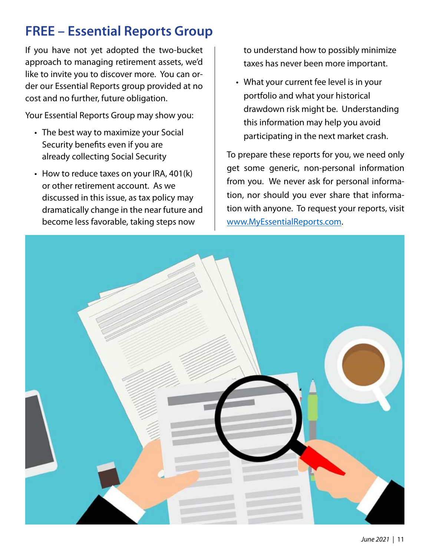# **FREE – Essential Reports Group**

If you have not yet adopted the two-bucket approach to managing retirement assets, we'd like to invite you to discover more. You can order our Essential Reports group provided at no cost and no further, future obligation.

Your Essential Reports Group may show you:

- The best way to maximize your Social Security benefits even if you are already collecting Social Security
- How to reduce taxes on your IRA, 401(k) or other retirement account. As we discussed in this issue, as tax policy may dramatically change in the near future and become less favorable, taking steps now

to understand how to possibly minimize taxes has never been more important.

What your current fee level is in your •portfolio and what your historical drawdown risk might be. Understanding this information may help you avoid participating in the next market crash.

To prepare these reports for you, we need only get some generic, non-personal information from you. We never ask for personal information, nor should you ever share that information with anyone. To request your reports, visit www.MyEssentialReports.com.